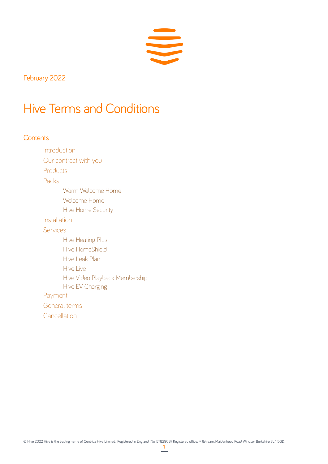

February 2022

# Hive Terms and Conditions

## **Contents**

**Introduction** Our contract with you

Products

Packs

Warm Welcome Home

Welcome Home

Hive Home Security

Installation

Services

Hive Heating Plus Hive HomeShield Hive Leak Plan Hive Live Hive Video Playback Membership Hive EV Charging Payment

General terms

**Cancellation**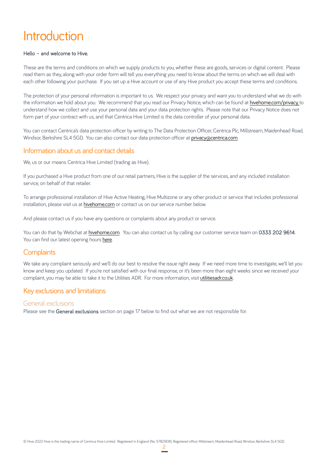# Introduction

#### Hello – and welcome to Hive.

These are the terms and conditions on which we supply products to you, whether these are goods, services or digital content. Please read them as they, along with your order form will tell you everything you need to know about the terms on which we will deal with each other following your purchase. If you set up a Hive account or use of any Hive product you accept these terms and conditions.

The protection of your personal information is important to us. We respect your privacy and want you to understand what we do with the information we hold about you. We recommend that you read our Privacy Notice, which can be found at hivehome.com/privacy, to understand how we collect and use your personal data and your data protection rights. Please note that our Privacy Notice does not form part of your contract with us, and that Centrica Hive Limited is the data controller of your personal data.

You can contact Centrica's data protection officer by writing to The Data Protection Officer, Centrica Plc, Millstream, Maidenhead Road, Windsor, Berkshire SL4 5GD. You can also contact our data protection officer at privacy@centrica.com.

## Information about us and contact details

We, us or our means Centrica Hive Limited (trading as Hive).

If you purchased a Hive product from one of our retail partners, Hive is the supplier of the services, and any included installation service, on behalf of that retailer.

To arrange professional installation of Hive Active Heating, Hive Multizone or any other product or service that includes professional installation, please visit us at hivehome.com or contact us on our service number below.

And please contact us if you have any questions or complaints about any product or service.

You can do that by Webchat at hivehome.com. You can also contact us by calling our customer service team on 0333 202 9614. You can find our latest opening hours here.

## **Complaints**

We take any complaint seriously and we'll do our best to resolve the issue right away. If we need more time to investigate, we'll let you know and keep you updated. If you're not satisfied with our final response, or it's been more than eight weeks since we received your complaint, you may be able to take it to the Utilities ADR. For more information, visit utilitiesadr.co.uk.

## Key exclusions and limitations

#### General exclusions

Please see the General exclusions section on page 17 below to find out what we are not responsible for.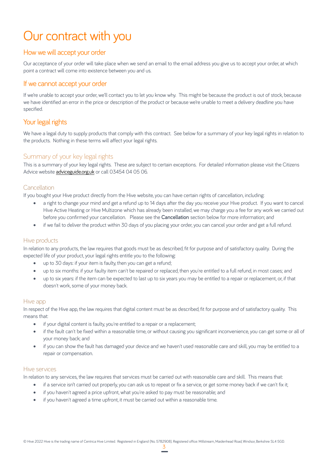# Our contract with you

## How we will accept your order

Our acceptance of your order will take place when we send an email to the email address you give us to accept your order, at which point a contract will come into existence between you and us.

#### If we cannot accept your order

If we're unable to accept your order, we'll contact you to let you know why. This might be because the product is out of stock, because we have identified an error in the price or description of the product or because we're unable to meet a delivery deadline you have specified.

# Your legal rights

We have a legal duty to supply products that comply with this contract. See below for a summary of your key legal rights in relation to the products. Nothing in these terms will affect your legal rights.

## Summary of your key legal rights

This is a summary of your key legal rights. These are subject to certain exceptions. For detailed information please visit the Citizens Advice website adviceguide.org.uk or call 03454 04 05 06.

#### **Cancellation**

If you bought your Hive product directly from the Hive website, you can have certain rights of cancellation, including:

- a right to change your mind and get a refund up to 14 days after the day you receive your Hive product. If you want to cancel Hive Active Heating or Hive Multizone which has already been installed, we may charge you a fee for any work we carried out before you confirmed your cancellation. Please see the **Cancellation** section below for more information; and
- if we fail to deliver the product within 30 days of you placing your order, you can cancel your order and get a full refund.

#### Hive products

In relation to any products, the law requires that goods must be as described, fit for purpose and of satisfactory quality. During the expected life of your product, your legal rights entitle you to the following:

- up to 30 days: if your item is faulty, then you can get a refund;
- up to six months: if your faulty item can't be repaired or replaced, then you're entitled to a full refund, in most cases; and
- up to six years: if the item can be expected to last up to six years you may be entitled to a repair or replacement, or, if that doesn't work, some of your money back.

#### Hive app

In respect of the Hive app, the law requires that digital content must be as described, fit for purpose and of satisfactory quality. This means that:

- if your digital content is faulty, you're entitled to a repair or a replacement;
- if the fault can't be fixed within a reasonable time, or without causing you significant inconvenience, you can get some or all of your money back; and
- if you can show the fault has damaged your device and we haven't used reasonable care and skill, you may be entitled to a repair or compensation.

#### Hive services

In relation to any services, the law requires that services must be carried out with reasonable care and skill. This means that:

- if a service isn't carried out properly, you can ask us to repeat or fix a service, or get some money back if we can't fix it;
- if you haven't agreed a price upfront, what you're asked to pay must be reasonable; and
- if you haven't agreed a time upfront, it must be carried out within a reasonable time.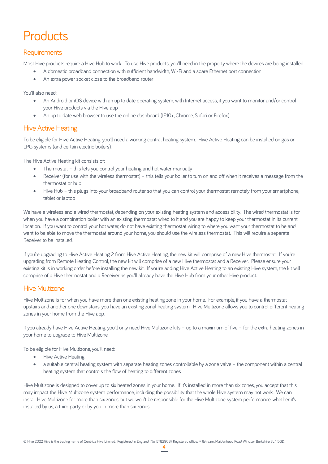# **Products**

# **Requirements**

Most Hive products require a Hive Hub to work. To use Hive products, you'll need in the property where the devices are being installed:

- A domestic broadband connection with sufficient bandwidth, Wi-Fi and a spare Ethernet port connection
- An extra power socket close to the broadband router

You'll also need:

- An Android or iOS device with an up to date operating system, with Internet access, if you want to monitor and/or control your Hive products via the Hive app
- An up to date web browser to use the online dashboard (IE10+, Chrome, Safari or Firefox)

## Hive Active Heating

To be eligible for Hive Active Heating, you'll need a working central heating system. Hive Active Heating can be installed on gas or LPG systems (and certain electric boilers).

The Hive Active Heating kit consists of:

- Thermostat this lets you control your heating and hot water manually
- Receiver (for use with the wireless thermostat) this tells your boiler to turn on and off when it receives a message from the thermostat or hub
- Hive Hub this plugs into your broadband router so that you can control your thermostat remotely from your smartphone, tablet or laptop

We have a wireless and a wired thermostat, depending on your existing heating system and accessibility. The wired thermostat is for when you have a combination boiler with an existing thermostat wired to it and you are happy to keep your thermostat in its current location. If you want to control your hot water, do not have existing thermostat wiring to where you want your thermostat to be and want to be able to move the thermostat around your home, you should use the wireless thermostat. This will require a separate Receiver to be installed.

If you're upgrading to Hive Active Heating 2 from Hive Active Heating, the new kit will comprise of a new Hive thermostat. If you're upgrading from Remote Heating Control, the new kit will comprise of a new Hive thermostat and a Receiver. Please ensure your existing kit is in working order before installing the new kit. If you're adding Hive Active Heating to an existing Hive system, the kit will comprise of a Hive thermostat and a Receiver as you'll already have the Hive Hub from your other Hive product.

## Hive Multizone

Hive Multizone is for when you have more than one existing heating zone in your home. For example, if you have a thermostat upstairs and another one downstairs, you have an existing zonal heating system. Hive Multizone allows you to control different heating zones in your home from the Hive app.

If you already have Hive Active Heating, you'll only need Hive Multizone kits – up to a maximum of five – for the extra heating zones in your home to upgrade to Hive Multizone.

To be eligible for Hive Multizone, you'll need:

- Hive Active Heating
- a suitable central heating system with separate heating zones controllable by a zone valve the component within a central heating system that controls the flow of heating to different zones

Hive Multizone is designed to cover up to six heated zones in your home. If it's installed in more than six zones, you accept that this may impact the Hive Multizone system performance, including the possibility that the whole Hive system may not work. We can install Hive Multizone for more than six zones, but we won't be responsible for the Hive Multizone system performance, whether it's installed by us, a third party or by you in more than six zones.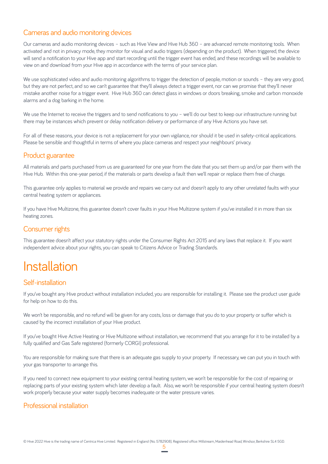# Cameras and audio monitoring devices

Our cameras and audio monitoring devices – such as Hive View and Hive Hub 360 – are advanced remote monitoring tools. When activated and not in privacy mode, they monitor for visual and audio triggers (depending on the product). When triggered, the device will send a notification to your Hive app and start recording until the trigger event has ended, and these recordings will be available to view on and download from your Hive app in accordance with the terms of your service plan.

We use sophisticated video and audio monitoring algorithms to trigger the detection of people, motion or sounds - they are very good, but they are not perfect, and so we can't guarantee that they'll always detect a trigger event, nor can we promise that they'll never mistake another noise for a trigger event. Hive Hub 360 can detect glass in windows or doors breaking, smoke and carbon monoxide alarms and a dog barking in the home.

We use the Internet to receive the triggers and to send notifications to you – we'll do our best to keep our infrastructure running but there may be instances which prevent or delay notification delivery or performance of any Hive Actions you have set.

For all of these reasons, your device is not a replacement for your own vigilance, nor should it be used in safety-critical applications. Please be sensible and thoughtful in terms of where you place cameras and respect your neighbours' privacy.

## Product guarantee

All materials and parts purchased from us are guaranteed for one year from the date that you set them up and/or pair them with the Hive Hub. Within this one-year period, if the materials or parts develop a fault then we'll repair or replace them free of charge.

This guarantee only applies to material we provide and repairs we carry out and doesn't apply to any other unrelated faults with your central heating system or appliances.

If you have Hive Multizone, this guarantee doesn't cover faults in your Hive Multizone system if you've installed it in more than six heating zones.

# Consumer rights

This guarantee doesn't affect your statutory rights under the Consumer Rights Act 2015 and any laws that replace it. If you want independent advice about your rights, you can speak to Citizens Advice or Trading Standards.

# Installation

## Self-installation

If you've bought any Hive product without installation included, you are responsible for installing it. Please see the product user guide for help on how to do this.

We won't be responsible, and no refund will be given for any costs, loss or damage that you do to your property or suffer which is caused by the incorrect installation of your Hive product.

If you've bought Hive Active Heating or Hive Multizone without installation, we recommend that you arrange for it to be installed by a fully qualified and Gas Safe registered (formerly CORGI) professional.

You are responsible for making sure that there is an adequate gas supply to your property. If necessary, we can put you in touch with your gas transporter to arrange this.

If you need to connect new equipment to your existing central heating system, we won't be responsible for the cost of repairing or replacing parts of your existing system which later develop a fault. Also, we won't be responsible if your central heating system doesn't work properly because your water supply becomes inadequate or the water pressure varies.

# Professional installation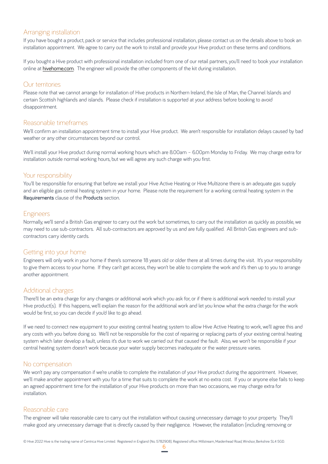## Arranging installation

If you have bought a product, pack or service that includes professional installation, please contact us on the details above to book an installation appointment. We agree to carry out the work to install and provide your Hive product on these terms and conditions.

If you bought a Hive product with professional installation included from one of our retail partners, you'll need to book your installation online at hivehome.com. The engineer will provide the other components of the kit during installation.

## Our territories

Please note that we cannot arrange for installation of Hive products in Northern Ireland, the Isle of Man, the Channel Islands and certain Scottish highlands and islands. Please check if installation is supported at your address before booking to avoid disappointment.

## Reasonable timeframes

We'll confirm an installation appointment time to install your Hive product. We aren't responsible for installation delays caused by bad weather or any other circumstances beyond our control.

We'll install your Hive product during normal working hours which are 8.00am – 6.00pm Monday to Friday. We may charge extra for installation outside normal working hours, but we will agree any such charge with you first.

## Your responsibility

You'll be responsible for ensuring that before we install your Hive Active Heating or Hive Multizone there is an adequate gas supply and an eligible gas central heating system in your home. Please note the requirement for a working central heating system in the Requirements clause of the Products section.

## Engineers

Normally, we'll send a British Gas engineer to carry out the work but sometimes, to carry out the installation as quickly as possible, we may need to use sub-contractors. All sub-contractors are approved by us and are fully qualified. All British Gas engineers and subcontractors carry identity cards.

## Getting into your home

Engineers will only work in your home if there's someone 18 years old or older there at all times during the visit. It's your responsibility to give them access to your home. If they can't get access, they won't be able to complete the work and it's then up to you to arrange another appointment.

## Additional charges

There'll be an extra charge for any changes or additional work which you ask for, or if there is additional work needed to install your Hive product(s). If this happens, we'll explain the reason for the additional work and let you know what the extra charge for the work would be first, so you can decide if you'd like to go ahead.

If we need to connect new equipment to your existing central heating system to allow Hive Active Heating to work, we'll agree this and any costs with you before doing so. We'll not be responsible for the cost of repairing or replacing parts of your existing central heating system which later develop a fault, unless it's due to work we carried out that caused the fault. Also, we won't be responsible if your central heating system doesn't work because your water supply becomes inadequate or the water pressure varies.

## No compensation

We won't pay any compensation if we're unable to complete the installation of your Hive product during the appointment. However, we'll make another appointment with you for a time that suits to complete the work at no extra cost. If you or anyone else fails to keep an agreed appointment time for the installation of your Hive products on more than two occasions, we may charge extra for **installation** 

## Reasonable care

The engineer will take reasonable care to carry out the installation without causing unnecessary damage to your property. They'll make good any unnecessary damage that is directly caused by their negligence. However, the installation (including removing or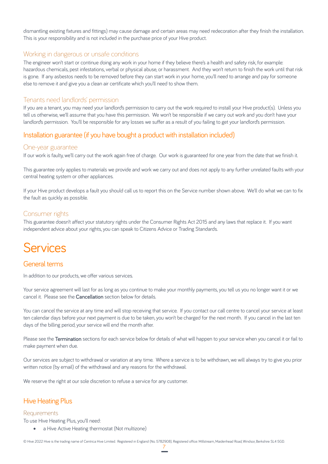dismantling existing fixtures and fittings) may cause damage and certain areas may need redecoration after they finish the installation. This is your responsibility and is not included in the purchase price of your Hive product.

## Working in dangerous or unsafe conditions

The engineer won't start or continue doing any work in your home if they believe there's a health and safety risk, for example: hazardous chemicals, pest infestations, verbal or physical abuse, or harassment. And they won't return to finish the work until that risk is gone. If any asbestos needs to be removed before they can start work in your home, you'll need to arrange and pay for someone else to remove it and give you a clean air certificate which you'll need to show them.

## Tenants need landlords' permission

If you are a tenant, you may need your landlord's permission to carry out the work required to install your Hive product(s). Unless you tell us otherwise, we'll assume that you have this permission. We won't be responsible if we carry out work and you don't have your landlord's permission. You'll be responsible for any losses we suffer as a result of you failing to get your landlord's permission.

# Installation guarantee (if you have bought a product with installation included)

#### One-year guarantee

If our work is faulty, we'll carry out the work again free of charge. Our work is guaranteed for one year from the date that we finish it.

This guarantee only applies to materials we provide and work we carry out and does not apply to any further unrelated faults with your central heating system or other appliances.

If your Hive product develops a fault you should call us to report this on the Service number shown above. We'll do what we can to fix the fault as quickly as possible.

## Consumer rights

This guarantee doesn't affect your statutory rights under the Consumer Rights Act 2015 and any laws that replace it. If you want independent advice about your rights, you can speak to Citizens Advice or Trading Standards.

# **Services**

# General terms

In addition to our products, we offer various services.

Your service agreement will last for as long as you continue to make your monthly payments, you tell us you no longer want it or we cancel it. Please see the Cancellation section below for details.

You can cancel the service at any time and will stop receiving that service. If you contact our call centre to cancel your service at least ten calendar days before your next payment is due to be taken, you won't be charged for the next month. If you cancel in the last ten days of the billing period, your service will end the month after.

Please see the Termination sections for each service below for details of what will happen to your service when you cancel it or fail to make payment when due.

Our services are subject to withdrawal or variation at any time. Where a service is to be withdrawn, we will always try to give you prior written notice (by email) of the withdrawal and any reasons for the withdrawal.

We reserve the right at our sole discretion to refuse a service for any customer.

# Hive Heating Plus

#### **Requirements**

To use Hive Heating Plus, you'll need:

• a Hive Active Heating thermostat (Not multizone)

© Hive 2022 Hive is the trading name of Centrica Hive Limited. Registered in England (No. 5782908). Registered office: Millstream, Maidenhead Road, Windsor, Berkshire SL4 5GD.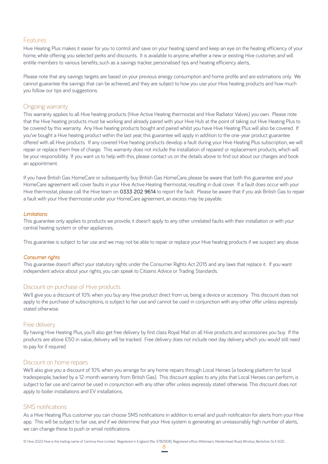#### Features

Hive Heating Plus makes it easier for you to control and save on your heating spend and keep an eye on the heating efficiency of your home, while offering you selected perks and discounts. It is available to anyone, whether a new or existing Hive customer, and will entitle members to various benefits, such as a savings tracker, personalised tips and heating efficiency alerts,

Please note that any savings targets are based on your previous energy consumption and home profile and are estimations only. We cannot guarantee the savings that can be achieved, and they are subject to how you use your Hive heating products and how much you follow our tips and suggestions.

#### Ongoing warranty

This warranty applies to all Hive heating products (Hive Active Heating thermostat and Hive Radiator Valves) you own. Please note that the Hive heating products must be working and already paired with your Hive Hub at the point of taking out Hive Heating Plus to be covered by this warranty. Any Hive heating products bought and paired whilst you have Hive Heating Plus will also be covered. If you've bought a Hive heating product within the last year, this guarantee will apply in addition to the one-year product guarantee offered with all Hive products. If any covered Hive heating products develop a fault during your Hive Heating Plus subscription, we will repair or replace them free of charge. This warranty does not include the installation of repaired or replacement products, which will be your responsibility. If you want us to help with this, please contact us on the details above to find out about our charges and book an appointment.

If you have British Gas HomeCare or subsequently buy British Gas HomeCare, please be aware that both this guarantee and your HomeCare agreement will cover faults in your Hive Active Heating thermostat, resulting in dual cover. If a fault does occur with your Hive thermostat, please call the Hive team on 0333 202 9614 to report the fault. Please be aware that if you ask British Gas to repair a fault with your Hive thermostat under your HomeCare agreement, an excess may be payable.

#### *Limitations*

This guarantee only applies to products we provide; it doesn't apply to any other unrelated faults with their installation or with your central heating system or other appliances.

This guarantee is subject to fair use and we may not be able to repair or replace your Hive heating products if we suspect any abuse.

#### *Consumer rights*

This guarantee doesn't affect your statutory rights under the Consumer Rights Act 2015 and any laws that replace it. If you want independent advice about your rights, you can speak to Citizens Advice or Trading Standards.

## Discount on purchase of Hive products

We'll give you a discount of 10% when you buy any Hive product direct from us, being a device or accessory. This discount does not apply to the purchase of subscriptions, is subject to fair use and cannot be used in conjunction with any other offer unless expressly stated otherwise.

#### Free delivery

By having Hive Heating Plus, you'll also get free delivery by first class Royal Mail on all Hive products and accessories you buy. If the products are above £50 in value, delivery will be tracked. Free delivery does not include next day delivery, which you would still need to pay for if required.

#### Discount on home repairs

We'll also give you a discount of 10% when you arrange for any home repairs through Local Heroes (a booking platform for local tradespeople, backed by a 12-month warranty from British Gas). This discount applies to any jobs that Local Heroes can perform, is subject to fair use and cannot be used in conjunction with any other offer unless expressly stated otherwise. This discount does not apply to boiler installations and EV installations.

#### SMS notifications

As a Hive Heating Plus customer you can choose SMS notifications in addition to email and push notification for alerts from your Hive app. This will be subject to fair use, and if we determine that your Hive system is generating an unreasonably high number of alerts, we can change these to push or email notifications.

© Hive 2022 Hive is the trading name of Centrica Hive Limited. Registered in England (No. 5782908). Registered office: Millstream, Maidenhead Road, Windsor, Berkshire SL4 5GD.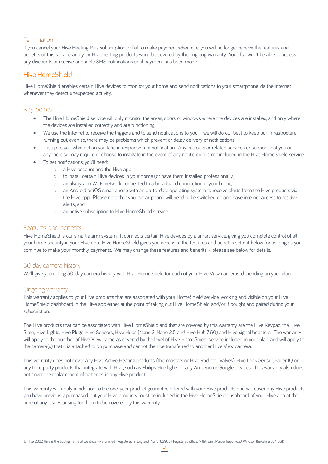## **Termination**

If you cancel your Hive Heating Plus subscription or fail to make payment when due, you will no longer receive the features and benefits of this service, and your Hive heating products won't be covered by the ongoing warranty. You also won't be able to access any discounts or receive or enable SMS notifications until payment has been made.

# Hive HomeShield

Hive HomeShield enables certain Hive devices to monitor your home and send notifications to your smartphone via the Internet whenever they detect unexpected activity.

## Key points:

- The Hive HomeShield service will only monitor the areas, doors or windows where the devices are installed, and only where the devices are installed correctly and are functioning.
- We use the Internet to receive the triggers and to send notifications to you we will do our best to keep our infrastructure running but, even so, there may be problems which prevent or delay delivery of notifications.
- It is up to you what action you take in response to a notification. Any call outs or related services or support that you or anyone else may require or choose to instigate in the event of any notification is not included in the Hive HomeShield service.
- To get notifications, you'll need:
	- o a Hive account and the Hive app;
	- o to install certain Hive devices in your home (or have them installed professionally);
	- o an always-on Wi-Fi network connected to a broadband connection in your home;
	- o an Android or iOS smartphone with an up-to-date operating system to receive alerts from the Hive products via the Hive app. Please note that your smartphone will need to be switched on and have internet access to receive alerts; and
	- o an active subscription to Hive HomeShield service.

## Features and benefits

Hive HomeShield is our smart alarm system. It connects certain Hive devices by a smart service, giving you complete control of all your home security in your Hive app. Hive HomeShield gives you access to the features and benefits set out below for as long as you continue to make your monthly payments. We may change these features and benefits – please see below for details.

## 30-day camera history

We'll give you rolling 30-day camera history with Hive HomeShield for each of your Hive View cameras, depending on your plan.

## Ongoing warranty

This warranty applies to your Hive products that are associated with your HomeShield service, working and visible on your Hive HomeShield dashboard in the Hive app either at the point of taking out Hive HomeShield and/or if bought and paired during your subscription.

The Hive products that can be associated with Hive HomeShield and that are covered by this warranty are the Hive Keypad, the Hive Siren, Hive Lights, Hive Plugs, Hive Sensors, Hive Hubs (Nano 2, Nano 2.5 and Hive Hub 360) and Hive signal boosters. The warranty will apply to the number of Hive View cameras covered by the level of Hive HomeShield service included in your plan, and will apply to the camera(s) that it is attached to on purchase and cannot then be transferred to another Hive View camera.

This warranty does not cover any Hive Active Heating products (thermostats or Hive Radiator Valves), Hive Leak Sensor, Boiler IQ or any third party products that integrate with Hive, such as Philips Hue lights or any Amazon or Google devices. This warranty also does not cover the replacement of batteries in any Hive product.

This warranty will apply in addition to the one-year product guarantee offered with your Hive products and will cover any Hive products you have previously purchased, but your Hive products must be included in the Hive HomeShield dashboard of your Hive app at the time of any issues arising for them to be covered by this warranty.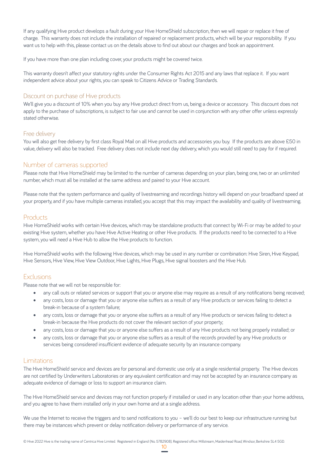If any qualifying Hive product develops a fault during your Hive HomeShield subscription, then we will repair or replace it free of charge. This warranty does not include the installation of repaired or replacement products, which will be your responsibility. If you want us to help with this, please contact us on the details above to find out about our charges and book an appointment.

If you have more than one plan including cover, your products might be covered twice.

This warranty doesn't affect your statutory rights under the Consumer Rights Act 2015 and any laws that replace it. If you want independent advice about your rights, you can speak to Citizens Advice or Trading Standards.

## Discount on purchase of Hive products

We'll give you a discount of 10% when you buy any Hive product direct from us, being a device or accessory. This discount does not apply to the purchase of subscriptions, is subject to fair use and cannot be used in conjunction with any other offer unless expressly stated otherwise.

#### Free delivery

You will also get free delivery by first class Royal Mail on all Hive products and accessories you buy. If the products are above £50 in value, delivery will also be tracked. Free delivery does not include next day delivery, which you would still need to pay for if required.

#### Number of cameras supported

Please note that Hive HomeShield may be limited to the number of cameras depending on your plan, being one, two or an unlimited number, which must all be installed at the same address and paired to your Hive account.

Please note that the system performance and quality of livestreaming and recordings history will depend on your broadband speed at your property, and if you have multiple cameras installed, you accept that this may impact the availability and quality of livestreaming.

#### **Products**

Hive HomeShield works with certain Hive devices, which may be standalone products that connect by Wi-Fi or may be added to your existing Hive system, whether you have Hive Active Heating or other Hive products. If the products need to be connected to a Hive system, you will need a Hive Hub to allow the Hive products to function.

Hive HomeShield works with the following Hive devices, which may be used in any number or combination: Hive Siren, Hive Keypad, Hive Sensors, Hive View, Hive View Outdoor, Hive Lights, Hive Plugs, Hive signal boosters and the Hive Hub.

## Exclusions

Please note that we will not be responsible for:

- any call outs or related services or support that you or anyone else may require as a result of any notifications being received;
- any costs, loss or damage that you or anyone else suffers as a result of any Hive products or services failing to detect a break-in because of a system failure;
- any costs, loss or damage that you or anyone else suffers as a result of any Hive products or services failing to detect a break-in because the Hive products do not cover the relevant section of your property;
- any costs, loss or damage that you or anyone else suffers as a result of any Hive products not being properly installed; or
- any costs, loss or damage that you or anyone else suffers as a result of the records provided by any Hive products or services being considered insufficient evidence of adequate security by an insurance company.

#### Limitations

The Hive HomeShield service and devices are for personal and domestic use only at a single residential property. The Hive devices are not certified by Underwriters Laboratories or any equivalent certification and may not be accepted by an insurance company as adequate evidence of damage or loss to support an insurance claim.

The Hive HomeShield service and devices may not function properly if installed or used in any location other than your home address, and you agree to have them installed only in your own home and at a single address.

We use the Internet to receive the triggers and to send notifications to you – we'll do our best to keep our infrastructure running but there may be instances which prevent or delay notification delivery or performance of any service.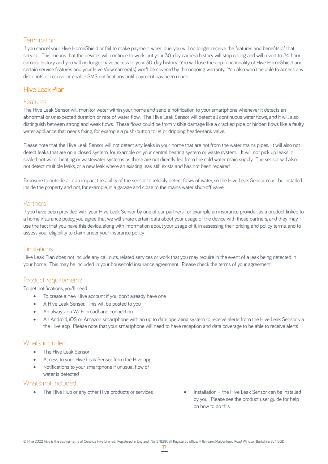# Termination

If you cancel your Hive HomeShield or fail to make payment when due, you will no longer receive the features and benefits of that service. This means that the devices will continue to work, but your 30-day camera history will stop rolling and will revert to 24-hour camera history and you will no longer have access to your 30-day history. You will lose the app functionality of Hive HomeShield and certain service features and your Hive View camera(s) won't be covered by the ongoing warranty. You also won't be able to access any discounts or receive or enable SMS notifications until payment has been made.

# Hive Leak Plan

## Features

The Hive Leak Sensor will monitor water within your home and send a notification to your smartphone whenever it detects an abnormal or unexpected duration or rate of water flow. The Hive Leak Sensor will detect all continuous water flows, and it will also distinguish between strong and weak flows. These flows could be from visible damage like a cracked pipe, or hidden flows like a faulty water appliance that needs fixing, for example a push-button toilet or dripping header-tank valve.

Please note that the Hive Leak Sensor will not detect any leaks in your home that are not from the water mains pipes. It will also not detect leaks that are on a closed system, for example on your central heating system or waste system. It will not pick up leaks in sealed hot water heating or wastewater systems as these are not directly fed from the cold water main supply. The sensor will also not detect multiple leaks, or a new leak where an existing leak still exists and has not been repaired.

Exposure to outside air can impact the ability of the sensor to reliably detect flows of water, so the Hive Leak Sensor must be installed inside the property and not, for example, in a garage and close to the mains water shut-off valve.

## **Partners**

If you have been provided with your Hive Leak Sensor by one of our partners, for example an insurance provider, as a product linked to a home insurance policy, you agree that we will share certain data about your usage of the device with those partners, and they may use the fact that you have this device, along with information about your usage of it, in assessing their pricing and policy terms, and to assess your eligibility to claim under your insurance policy.

## Limitations

Hive Leak Plan does not include any call outs, related services or work that you may require in the event of a leak being detected in your home. This may be included in your household insurance agreement. Please check the terms of your agreement.

## Product requirements

To get notifications, you'll need

- To create a new Hive account if you don't already have one
- A Hive Leak Sensor. This will be posted to you
- An always-on Wi-Fi broadband connection
- An Android, iOS or Amazon smartphone with an up to date operating system to receive alerts from the Hive Leak Sensor via the Hive app. Please note that your smartphone will need to have reception and data coverage to be able to receive alerts

## What's included

- The Hive Leak Sensor
- Access to your Hive Leak Sensor from the Hive app
- Notifications to your smartphone if unusual flow of water is detected

## What's not included

- The Hive Hub or any other Hive products or services Installation the Hive Leak Sensor can be installed
	- by you. Please see the product user guide for help on how to do this.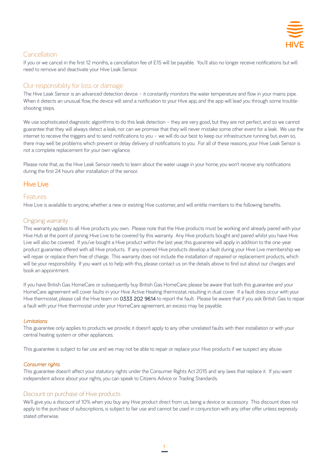

# **Cancellation**

If you or we cancel in the first 12 months, a cancellation fee of £15 will be payable. You'll also no longer receive notifications but will need to remove and deactivate your Hive Leak Sensor.

## Our responsibility for loss or damage

The Hive Leak Sensor is an advanced detection device – it constantly monitors the water temperature and flow in your mains pipe. When it detects an unusual flow, the device will send a notification to your Hive app, and the app will lead you through some troubleshooting steps.

We use sophisticated diagnostic algorithms to do this leak detection – they are very good, but they are not perfect, and so we cannot guarantee that they will always detect a leak, nor can we promise that they will never mistake some other event for a leak. We use the internet to receive the triggers and to send notifications to you – we will do our best to keep our infrastructure running but, even so, there may well be problems which prevent or delay delivery of notifications to you. For all of these reasons, your Hive Leak Sensor is not a complete replacement for your own vigilance.

Please note that, as the Hive Leak Sensor needs to learn about the water usage in your home, you won't receive any notifications during the first 24 hours after installation of the sensor.

## Hive Live

## Features

Hive Live is available to anyone, whether a new or existing Hive customer, and will entitle members to the following benefits.

## Ongoing warranty

This warranty applies to all Hive products you own. Please note that the Hive products must be working and already paired with your Hive Hub at the point of joining Hive Live to be covered by this warranty. Any Hive products bought and paired whilst you have Hive Live will also be covered. If you've bought a Hive product within the last year, this guarantee will apply in addition to the one-year product guarantee offered with all Hive products. If any covered Hive products develop a fault during your Hive Live membership we will repair or replace them free of charge. This warranty does not include the installation of repaired or replacement products, which will be your responsibility. If you want us to help with this, please contact us on the details above to find out about our charges and book an appointment.

If you have British Gas HomeCare or subsequently buy British Gas HomeCare, please be aware that both this guarantee and your HomeCare agreement will cover faults in your Hive Active Heating thermostat, resulting in dual cover. If a fault does occur with your Hive thermostat, please call the Hive team on 0333 202 9614 to report the fault. Please be aware that if you ask British Gas to repair a fault with your Hive thermostat under your HomeCare agreement, an excess may be payable.

#### *Limitations*

This guarantee only applies to products we provide; it doesn't apply to any other unrelated faults with their installation or with your central heating system or other appliances.

This guarantee is subject to fair use and we may not be able to repair or replace your Hive products if we suspect any abuse.

#### *Consumer rights*

This guarantee doesn't affect your statutory rights under the Consumer Rights Act 2015 and any laws that replace it. If you want independent advice about your rights, you can speak to Citizens Advice or Trading Standards.

## Discount on purchase of Hive products

We'll give you a discount of 10% when you buy any Hive product direct from us, being a device or accessory. This discount does not apply to the purchase of subscriptions, is subject to fair use and cannot be used in conjunction with any other offer unless expressly stated otherwise.

1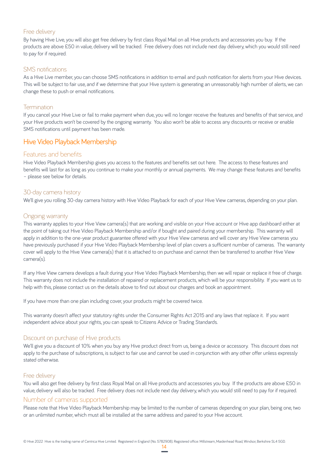#### Free delivery

By having Hive Live, you will also get free delivery by first class Royal Mail on all Hive products and accessories you buy. If the products are above £50 in value, delivery will be tracked. Free delivery does not include next day delivery, which you would still need to pay for if required.

#### SMS notifications

As a Hive Live member, you can choose SMS notifications in addition to email and push notification for alerts from your Hive devices. This will be subject to fair use, and if we determine that your Hive system is generating an unreasonably high number of alerts, we can change these to push or email notifications.

#### **Termination**

If you cancel your Hive Live or fail to make payment when due, you will no longer receive the features and benefits of that service, and your Hive products won't be covered by the ongoing warranty. You also won't be able to access any discounts or receive or enable SMS notifications until payment has been made.

## Hive Video Playback Membership

#### Features and benefits

Hive Video Playback Membership gives you access to the features and benefits set out here. The access to these features and benefits will last for as long as you continue to make your monthly or annual payments. We may change these features and benefits – please see below for details.

#### 30-day camera history

We'll give you rolling 30-day camera history with Hive Video Playback for each of your Hive View cameras, depending on your plan.

#### Ongoing warranty

This warranty applies to your Hive View camera(s) that are working and visible on your Hive account or Hive app dashboard either at the point of taking out Hive Video Playback Membership and/or if bought and paired during your membership. This warranty will apply in addition to the one-year product guarantee offered with your Hive View cameras and will cover any Hive View cameras you have previously purchased if your Hive Video Playback Membership level of plan covers a sufficient number of cameras. The warranty cover will apply to the Hive View camera(s) that it is attached to on purchase and cannot then be transferred to another Hive View camera(s).

If any Hive View camera develops a fault during your Hive Video Playback Membership, then we will repair or replace it free of charge. This warranty does not include the installation of repaired or replacement products, which will be your responsibility. If you want us to help with this, please contact us on the details above to find out about our charges and book an appointment.

If you have more than one plan including cover, your products might be covered twice.

This warranty doesn't affect your statutory rights under the Consumer Rights Act 2015 and any laws that replace it. If you want independent advice about your rights, you can speak to Citizens Advice or Trading Standards.

#### Discount on purchase of Hive products

We'll give you a discount of 10% when you buy any Hive product direct from us, being a device or accessory. This discount does not apply to the purchase of subscriptions, is subject to fair use and cannot be used in conjunction with any other offer unless expressly stated otherwise.

#### Free delivery

You will also get free delivery by first class Royal Mail on all Hive products and accessories you buy. If the products are above £50 in value, delivery will also be tracked. Free delivery does not include next day delivery, which you would still need to pay for if required.

#### Number of cameras supported

Please note that Hive Video Playback Membership may be limited to the number of cameras depending on your plan, being one, two or an unlimited number, which must all be installed at the same address and paired to your Hive account.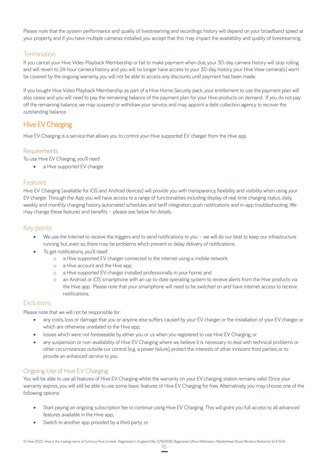Please note that the system performance and quality of livestreaming and recordings history will depend on your broadband speed at your property, and if you have multiple cameras installed, you accept that this may impact the availability and quality of livestreaming.

## **Termination**

If you cancel your Hive Video Playback Membership or fail to make payment when due, your 30-day camera history will stop rolling and will revert to 24-hour camera history and you will no longer have access to your 30-day history, your Hive View camera(s) won't be covered by the ongoing warranty, you will not be able to access any discounts until payment has been made.

If you bought Hive Video Playback Membership as part of a Hive Home Security pack, your entitlement to use the payment plan will also cease and you will need to pay the remaining balance of the payment plan for your Hive products on demand. If you do not pay off the remaining balance, we may suspend or withdraw your service, and may appoint a debt collection agency to recover the outstanding balance.

# Hive EV Charging

Hive EV Charging is a service that allows you to control your Hive supported EV charger from the Hive app.

## Requirements

To use Hive EV Charging, you'll need:

• a Hive supported EV charger.

## Features

Hive EV Charging (available for iOS and Android devices) will provide you with transparency, flexibility and visibility when using your EV charger. Through the App you will have access to a range of functionalities including display of real time charging status, daily, weekly and monthly charging history, automated schedules and tariff integration, push notifications and in-app troubleshooting. We may change these features and benefits – please see below for details.

# Key points

- We use the Internet to receive the triggers and to send notifications to you we will do our best to keep our infrastructure running but, even so, there may be problems which prevent or delay delivery of notifications.
- To get notifications, you'll need:
	- o a Hive supported EV charger connected to the internet using a mobile network;
	- o a Hive account and the Hive app;
	- o a Hive supported EV charger installed professionally in your home; and
	- o an Android or iOS smartphone with an up-to-date operating system to receive alerts from the Hive products via the Hive app. Please note that your smartphone will need to be switched on and have internet access to receive notifications.

## Exclusions

Please note that we will not be responsible for:

- any costs, loss or damage that you or anyone else suffers caused by your EV charger or the installation of your EV charger or which are otherwise unrelated to the Hive app;
- losses which were not foreseeable by either you or us when you registered to use Hive EV Charging; or
- any suspension or non-availability of Hive EV Charging where we believe it is necessary to deal with technical problems or other circumstances outside our control (e.g. a power failure), protect the interests of other innocent third parties, or to provide an enhanced service to you.

## Ongoing Use of Hive EV Charging

You will be able to use all features of Hive EV Charging whilst the warranty on your EV charging station remains valid. Once your warranty expires, you will still be able to use some basic features of Hive EV Charging for free. Alternatively, you may choose one of the following options:

- Start paying an ongoing subscription fee to continue using Hive EV Charging. This will grant you full access to all advanced features available in the Hive app;
- Switch to another app provided by a third party; or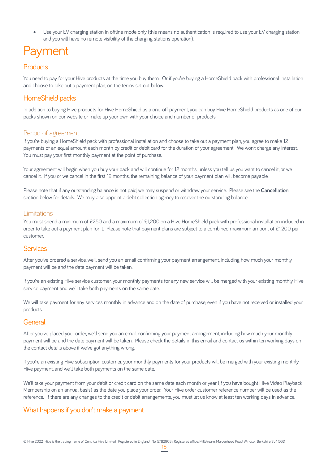• Use your EV charging station in offline mode only (this means no authentication is required to use your EV charging station and you will have no remote visibility of the charging stations operation).

# Payment

# **Products**

You need to pay for your Hive products at the time you buy them. Or if you're buying a HomeShield pack with professional installation and choose to take out a payment plan, on the terms set out below.

# HomeShield packs

In addition to buying Hive products for Hive HomeShield as a one-off payment, you can buy Hive HomeShield products as one of our packs shown on our website or make up your own with your choice and number of products.

## Period of agreement

If you're buying a HomeShield pack with professional installation and choose to take out a payment plan, you agree to make 12 payments of an equal amount each month by credit or debit card for the duration of your agreement. We won't charge any interest. You must pay your first monthly payment at the point of purchase.

Your agreement will begin when you buy your pack and will continue for 12 months, unless you tell us you want to cancel it, or we cancel it. If you or we cancel in the first 12 months, the remaining balance of your payment plan will become payable.

Please note that if any outstanding balance is not paid, we may suspend or withdraw your service. Please see the Cancellation section below for details. We may also appoint a debt collection agency to recover the outstanding balance.

## Limitations

You must spend a minimum of £250 and a maximum of £1,200 on a Hive HomeShield pack with professional installation included in order to take out a payment plan for it. Please note that payment plans are subject to a combined maximum amount of £1,200 per customer.

## **Services**

After you've ordered a service, we'll send you an email confirming your payment arrangement, including how much your monthly payment will be and the date payment will be taken.

If you're an existing Hive service customer, your monthly payments for any new service will be merged with your existing monthly Hive service payment and we'll take both payments on the same date.

We will take payment for any services monthly in advance and on the date of purchase, even if you have not received or installed your products.

## General

After you've placed your order, we'll send you an email confirming your payment arrangement, including how much your monthly payment will be and the date payment will be taken. Please check the details in this email and contact us within ten working days on the contact details above if we've got anything wrong.

If you're an existing Hive subscription customer, your monthly payments for your products will be merged with your existing monthly Hive payment, and we'll take both payments on the same date.

We'll take your payment from your debit or credit card on the same date each month or year (if you have bought Hive Video Playback Membership on an annual basis) as the date you place your order. Your Hive order customer reference number will be used as the reference. If there are any changes to the credit or debit arrangements, you must let us know at least ten working days in advance.

# What happens if you don't make a payment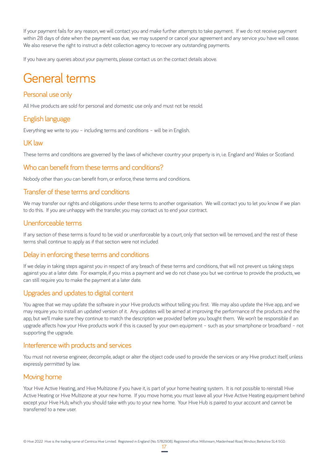If your payment fails for any reason, we will contact you and make further attempts to take payment. If we do not receive payment within 28 days of date when the payment was due, we may suspend or cancel your agreement and any service you have will cease. We also reserve the right to instruct a debt collection agency to recover any outstanding payments.

If you have any queries about your payments, please contact us on the contact details above.

# General terms

# Personal use only

All Hive products are sold for personal and domestic use only and must not be resold.

# English language

Everything we write to you – including terms and conditions – will be in English.

## UK law

These terms and conditions are governed by the laws of whichever country your property is in, i.e. England and Wales or Scotland.

## Who can benefit from these terms and conditions?

Nobody other than you can benefit from, or enforce, these terms and conditions.

## Transfer of these terms and conditions

We may transfer our rights and obligations under these terms to another organisation. We will contact you to let you know if we plan to do this. If you are unhappy with the transfer, you may contact us to end your contract.

## Unenforceable terms

If any section of these terms is found to be void or unenforceable by a court, only that section will be removed, and the rest of these terms shall continue to apply as if that section were not included.

## Delay in enforcing these terms and conditions

If we delay in taking steps against you in respect of any breach of these terms and conditions, that will not prevent us taking steps against you at a later date. For example, if you miss a payment and we do not chase you but we continue to provide the products, we can still require you to make the payment at a later date.

## Upgrades and updates to digital content

You agree that we may update the software in your Hive products without telling you first. We may also update the Hive app, and we may require you to install an updated version of it. Any updates will be aimed at improving the performance of the products and the app, but we'll make sure they continue to match the description we provided before you bought them. We won't be responsible if an upgrade affects how your Hive products work if this is caused by your own equipment – such as your smartphone or broadband – not supporting the upgrade.

## Interference with products and services

You must not reverse engineer, decompile, adapt or alter the object code used to provide the services or any Hive product itself, unless expressly permitted by law.

## Moving home

Your Hive Active Heating, and Hive Multizone if you have it, is part of your home heating system. It is not possible to reinstall Hive Active Heating or Hive Multizone at your new home. If you move home, you must leave all your Hive Active Heating equipment behind except your Hive Hub, which you should take with you to your new home. Your Hive Hub is paired to your account and cannot be transferred to a new user.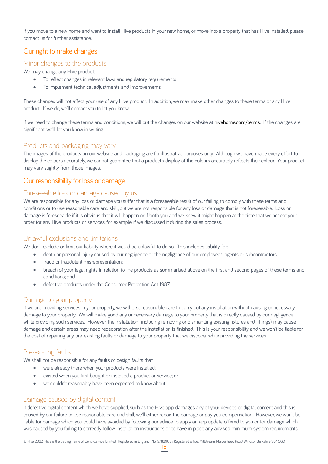If you move to a new home and want to install Hive products in your new home, or move into a property that has Hive installed, please contact us for further assistance.

# Our right to make changes

## Minor changes to the products

We may change any Hive product:

- To reflect changes in relevant laws and regulatory requirements
- To implement technical adjustments and improvements

These changes will not affect your use of any Hive product. In addition, we may make other changes to these terms or any Hive product. If we do, we'll contact you to let you know.

If we need to change these terms and conditions, we will put the changes on our website at hivehome.com/terms. If the changes are significant, we'll let you know in writing.

## Products and packaging may vary

The images of the products on our website and packaging are for illustrative purposes only. Although we have made every effort to display the colours accurately, we cannot guarantee that a product's display of the colours accurately reflects their colour. Your product may vary slightly from those images.

# Our responsibility for loss or damage

#### Foreseeable loss or damage caused by us

We are responsible for any loss or damage you suffer that is a foreseeable result of our failing to comply with these terms and conditions or to use reasonable care and skill, but we are not responsible for any loss or damage that is not foreseeable. Loss or damage is foreseeable if it is obvious that it will happen or if both you and we knew it might happen at the time that we accept your order for any Hive products or services, for example, if we discussed it during the sales process.

## Unlawful exclusions and limitations

We don't exclude or limit our liability where it would be unlawful to do so. This includes liability for:

- death or personal injury caused by our negligence or the negligence of our employees, agents or subcontractors;
- fraud or fraudulent misrepresentation;
- breach of your legal rights in relation to the products as summarised above on the first and second pages of these terms and conditions; and
- defective products under the Consumer Protection Act 1987.

#### Damage to your property

If we are providing services in your property, we will take reasonable care to carry out any installation without causing unnecessary damage to your property. We will make good any unnecessary damage to your property that is directly caused by our negligence while providing such services. However, the installation (including removing or dismantling existing fixtures and fittings) may cause damage and certain areas may need redecoration after the installation is finished. This is your responsibility and we won't be liable for the cost of repairing any pre-existing faults or damage to your property that we discover while providing the services.

## Pre-existing faults

We shall not be responsible for any faults or design faults that:

- were already there when your products were installed;
- existed when you first bought or installed a product or service; or
- we couldn't reasonably have been expected to know about.

## Damage caused by digital content

If defective digital content which we have supplied, such as the Hive app, damages any of your devices or digital content and this is caused by our failure to use reasonable care and skill, we'll either repair the damage or pay you compensation. However, we won't be liable for damage which you could have avoided by following our advice to apply an app update offered to you or for damage which was caused by you failing to correctly follow installation instructions or to have in place any advised minimum system requirements.

© Hive 2022 Hive is the trading name of Centrica Hive Limited. Registered in England (No. 5782908). Registered office: Millstream, Maidenhead Road, Windsor, Berkshire SL4 5GD.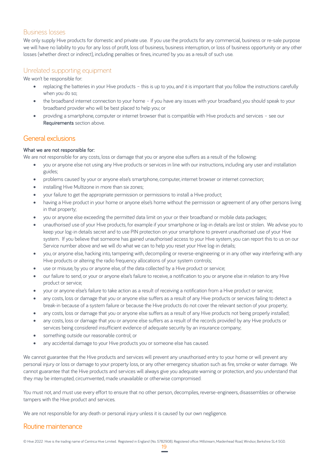## Business losses

We only supply Hive products for domestic and private use. If you use the products for any commercial, business or re-sale purpose we will have no liability to you for any loss of profit, loss of business, business interruption, or loss of business opportunity or any other losses (whether direct or indirect), including penalties or fines, incurred by you as a result of such use.

## Unrelated supporting equipment

We won't be responsible for:

- replacing the batteries in your Hive products this is up to you, and it is important that you follow the instructions carefully when you do so;
- the broadband internet connection to your home if you have any issues with your broadband, you should speak to your broadband provider who will be best placed to help you; or
- providing a smartphone, computer or internet browser that is compatible with Hive products and services see our Requirements section above.

## General exclusions

#### What we are not responsible for:

We are not responsible for any costs, loss or damage that you or anyone else suffers as a result of the following:

- you or anyone else not using any Hive products or services in line with our instructions, including any user and installation guides;
- problems caused by your or anyone else's smartphone, computer, internet browser or internet connection;
- installing Hive Multizone in more than six zones;
- your failure to get the appropriate permission or permissions to install a Hive product;
- having a Hive product in your home or anyone else's home without the permission or agreement of any other persons living in that property;
- you or anyone else exceeding the permitted data limit on your or their broadband or mobile data packages;
- unauthorised use of your Hive products, for example if your smartphone or log-in details are lost or stolen. We advise you to keep your log-in details secret and to use PIN protection on your smartphone to prevent unauthorised use of your Hive system. If you believe that someone has gained unauthorised access to your Hive system, you can report this to us on our Service number above and we will do what we can to help you reset your Hive log-in details;
- you, or anyone else, hacking into, tampering with, decompiling or reverse-engineering or in any other way interfering with any Hive products or altering the radio frequency allocations of your system controls;
- use or misuse, by you or anyone else, of the data collected by a Hive product or service;
- our failure to send, or your or anyone else's failure to receive, a notification to you or anyone else in relation to any Hive product or service;
- your or anyone else's failure to take action as a result of receiving a notification from a Hive product or service;
- any costs, loss or damage that you or anyone else suffers as a result of any Hive products or services failing to detect a break-in because of a system failure or because the Hive products do not cover the relevant section of your property;
- any costs, loss or damage that you or anyone else suffers as a result of any Hive products not being properly installed;
- any costs, loss or damage that you or anyone else suffers as a result of the records provided by any Hive products or services being considered insufficient evidence of adequate security by an insurance company;
- something outside our reasonable control; or
- any accidental damage to your Hive products you or someone else has caused.

We cannot guarantee that the Hive products and services will prevent any unauthorised entry to your home or will prevent any personal injury or loss or damage to your property loss, or any other emergency situation such as fire, smoke or water damage. We cannot guarantee that the Hive products and services will always give you adequate warning or protection, and you understand that they may be interrupted, circumvented, made unavailable or otherwise compromised.

You must not, and must use every effort to ensure that no other person, decompiles, reverse-engineers, disassembles or otherwise tampers with the Hive product and services.

We are not responsible for any death or personal injury unless it is caused by our own negligence.

## Routine maintenance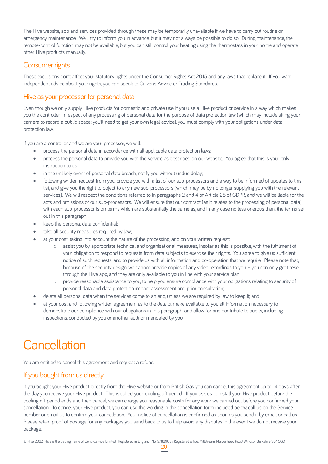The Hive website, app and services provided through these may be temporarily unavailable if we have to carry out routine or emergency maintenance. We'll try to inform you in advance, but it may not always be possible to do so. During maintenance, the remote-control function may not be available, but you can still control your heating using the thermostats in your home and operate other Hive products manually.

# Consumer rights

These exclusions don't affect your statutory rights under the Consumer Rights Act 2015 and any laws that replace it. If you want independent advice about your rights, you can speak to Citizens Advice or Trading Standards.

# Hive as your processor for personal data

Even though we only supply Hive products for domestic and private use, if you use a Hive product or service in a way which makes you the controller in respect of any processing of personal data for the purpose of data protection law (which may include siting your camera to record a public space; you'll need to get your own legal advice), you must comply with your obligations under data protection law.

If you are a controller and we are your processor, we will:

- process the personal data in accordance with all applicable data protection laws;
- process the personal data to provide you with the service as described on our website. You agree that this is your only instruction to us;
- in the unlikely event of personal data breach, notify you without undue delay;
- following written request from you, provide you with a list of our sub-processors and a way to be informed of updates to this list, and give you the right to object to any new sub-processors (which may be by no longer supplying you with the relevant services). We will respect the conditions referred to in paragraphs 2 and 4 of Article 28 of GDPR, and we will be liable for the acts and omissions of our sub-processors. We will ensure that our contract (as it relates to the processing of personal data) with each sub-processor is on terms which are substantially the same as, and in any case no less onerous than, the terms set out in this paragraph;
- keep the personal data confidential;
- take all security measures required by law;
- at your cost, taking into account the nature of the processing, and on your written request:
	- o assist you by appropriate technical and organisational measures, insofar as this is possible, with the fulfilment of your obligation to respond to requests from data subjects to exercise their rights. You agree to give us sufficient notice of such requests, and to provide us with all information and co-operation that we require. Please note that, because of the security design, we cannot provide copies of any video recordings to you – you can only get these through the Hive app, and they are only available to you in line with your service plan;
	- o provide reasonable assistance to you, to help you ensure compliance with your obligations relating to security of personal data and data protection impact assessment and prior consultation;
- delete all personal data when the services come to an end, unless we are required by law to keep it; and
- at your cost and following written agreement as to the details, make available to you all information necessary to demonstrate our compliance with our obligations in this paragraph, and allow for and contribute to audits, including inspections, conducted by you or another auditor mandated by you.

# **Cancellation**

You are entitled to cancel this agreement and request a refund.

# If you bought from us directly

If you bought your Hive product directly from the Hive website or from British Gas you can cancel this agreement up to 14 days after the day you receive your Hive product. This is called your 'cooling off period'. If you ask us to install your Hive product before the cooling off period ends and then cancel, we can charge you reasonable costs for any work we carried out before you confirmed your cancellation. To cancel your Hive product, you can use the wording in the cancellation form included below, call us on the Service number or email us to confirm your cancellation. Your notice of cancellation is confirmed as soon as you send it by email or call us. Please retain proof of postage for any packages you send back to us to help avoid any disputes in the event we do not receive your package.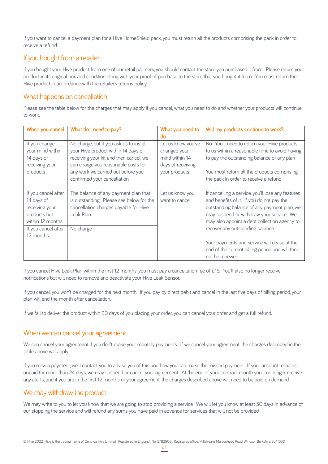If you want to cancel a payment plan for a Hive HomeShield pack, you must return all the products comprising the pack in order to receive a refund.

# If you bought from a retailer

If you bought your Hive product from one of our retail partners, you should contact the store you purchased it from. Please return your product in its original box and condition along with your proof of purchase to the store that you bought it from. You must return the Hive product in accordance with the retailer's returns policy.

# What happens on cancellation

Please see the table below for the charges that may apply if you cancel, what you need to do and whether your products will continue to work.

| When you cancel                                                                         | What do I need to pay?                                                                                                                                                                                                               | What you need to                                                                           | Will my products continue to work?                                                                                                                                                                                                        |
|-----------------------------------------------------------------------------------------|--------------------------------------------------------------------------------------------------------------------------------------------------------------------------------------------------------------------------------------|--------------------------------------------------------------------------------------------|-------------------------------------------------------------------------------------------------------------------------------------------------------------------------------------------------------------------------------------------|
|                                                                                         |                                                                                                                                                                                                                                      | do                                                                                         |                                                                                                                                                                                                                                           |
| If you change<br>your mind within<br>14 days of<br>receiving your<br>products           | No charge, but if you ask us to install<br>your Hive product within 14 days of<br>receiving your kit and then cancel, we<br>can charge you reasonable costs for<br>any work we carried out before you<br>confirmed your cancellation | Let us know you've<br>changed your<br>mind within 14<br>days of receiving<br>your products | No. You'll need to return your Hive products<br>to us within a reasonable time to avoid having<br>to pay the outstanding balance of any plan<br>You must return all the products comprising<br>the pack in order to receive a refund      |
| If you cancel after<br>14 days of<br>receiving your<br>products but<br>within 12 months | The balance of any payment plan that<br>is outstanding. Please see below for the<br>cancellation charges payable for Hive<br>Leak Plan                                                                                               | Let us know you<br>want to cancel                                                          | If cancelling a service, you'll lose any features<br>and benefits of it. If you do not pay the<br>outstanding balance of any payment plan, we<br>may suspend or withdraw your service. We<br>may also appoint a debt collection agency to |
| If you cancel after<br>12 months                                                        | No charge                                                                                                                                                                                                                            |                                                                                            | recover any outstanding balance<br>Your payments and service will cease at the<br>end of the current billing period and will then<br>not be renewed                                                                                       |

If you cancel Hive Leak Plan within the first 12 months, you must pay a cancellation fee of £15. You'll also no longer receive notifications but will need to remove and deactivate your Hive Leak Sensor.

If you cancel, you won't be charged for the next month. If you pay by direct debit and cancel in the last five days of billing period, your plan will end the month after cancellation.

If we fail to deliver the product within 30 days of you placing your order, you can cancel your order and get a full refund.

## When we can cancel your agreement

We can cancel your agreement if you don't make your monthly payments. If we cancel your agreement, the charges described in the table above will apply.

If you miss a payment, we'll contact you to advise you of this and how you can make the missed payment. If your account remains unpaid for more than 24 days, we may suspend or cancel your agreement. At the end of your contract month you'll no longer receive any alerts, and if you are in the first 12 months of your agreement, the charges described above will need to be paid on demand.

# We may withdraw the product

We may write to you to let you know that we are going to stop providing a service. We will let you know at least 30 days in advance of our stopping the service and will refund any sums you have paid in advance for services that will not be provided.